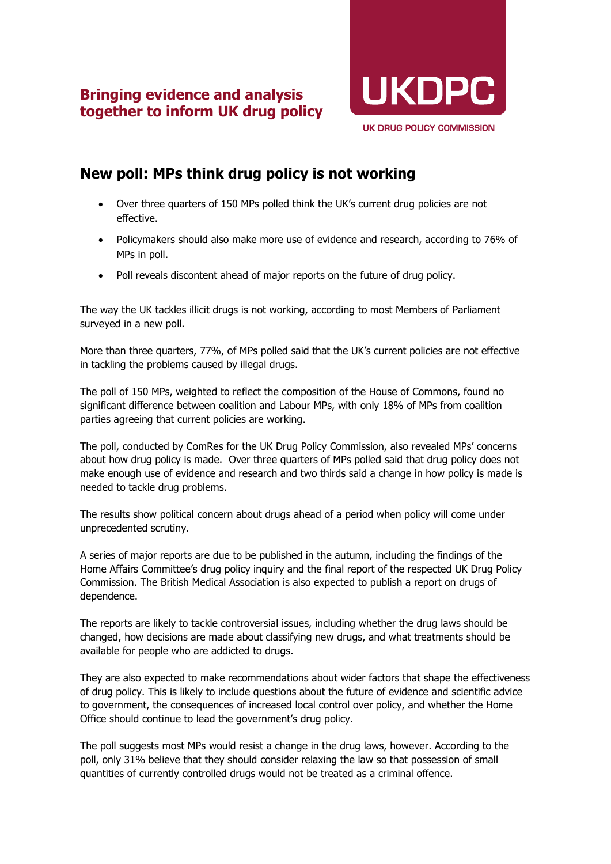## **Bringing evidence and analysis together to inform UK drug policy**



# **New poll: MPs think drug policy is not working**

- Over three quarters of 150 MPs polled think the UK's current drug policies are not effective.
- Policymakers should also make more use of evidence and research, according to 76% of MPs in poll.
- Poll reveals discontent ahead of major reports on the future of drug policy.

The way the UK tackles illicit drugs is not working, according to most Members of Parliament surveyed in a new poll.

More than three quarters, 77%, of MPs polled said that the UK's current policies are not effective in tackling the problems caused by illegal drugs.

The poll of 150 MPs, weighted to reflect the composition of the House of Commons, found no significant difference between coalition and Labour MPs, with only 18% of MPs from coalition parties agreeing that current policies are working.

The poll, conducted by ComRes for the UK Drug Policy Commission, also revealed MPs' concerns about how drug policy is made. Over three quarters of MPs polled said that drug policy does not make enough use of evidence and research and two thirds said a change in how policy is made is needed to tackle drug problems.

The results show political concern about drugs ahead of a period when policy will come under unprecedented scrutiny.

A series of major reports are due to be published in the autumn, including the findings of the Home Affairs Committee's drug policy inquiry and the final report of the respected UK Drug Policy Commission. The British Medical Association is also expected to publish a report on drugs of dependence.

The reports are likely to tackle controversial issues, including whether the drug laws should be changed, how decisions are made about classifying new drugs, and what treatments should be available for people who are addicted to drugs.

They are also expected to make recommendations about wider factors that shape the effectiveness of drug policy. This is likely to include questions about the future of evidence and scientific advice to government, the consequences of increased local control over policy, and whether the Home Office should continue to lead the government's drug policy.

The poll suggests most MPs would resist a change in the drug laws, however. According to the poll, only 31% believe that they should consider relaxing the law so that possession of small quantities of currently controlled drugs would not be treated as a criminal offence.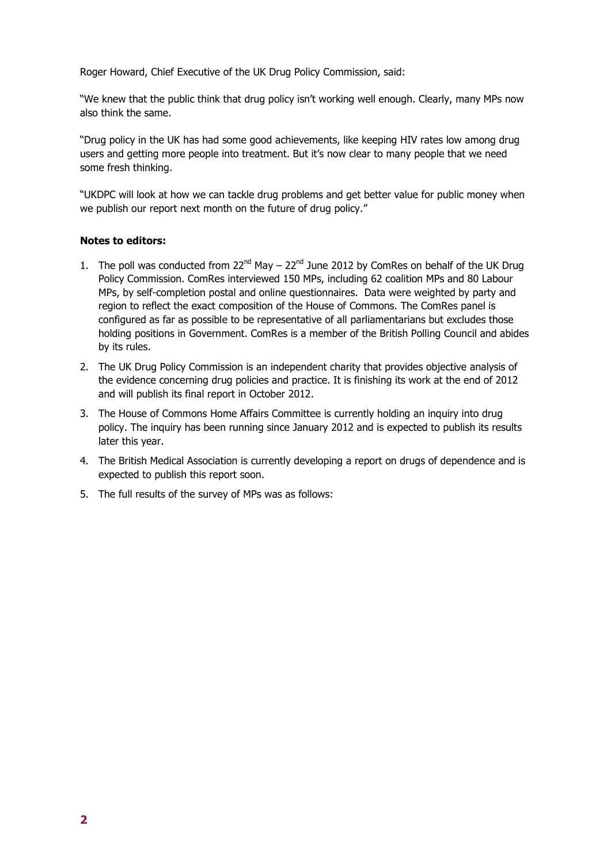Roger Howard, Chief Executive of the UK Drug Policy Commission, said:

"We knew that the public think that drug policy isn't working well enough. Clearly, many MPs now also think the same.

"Drug policy in the UK has had some good achievements, like keeping HIV rates low among drug users and getting more people into treatment. But it's now clear to many people that we need some fresh thinking.

"UKDPC will look at how we can tackle drug problems and get better value for public money when we publish our report next month on the future of drug policy."

#### **Notes to editors:**

- 1. The poll was conducted from  $22^{nd}$  May  $22^{nd}$  June 2012 by ComRes on behalf of the UK Drug Policy Commission. ComRes interviewed 150 MPs, including 62 coalition MPs and 80 Labour MPs, by self-completion postal and online questionnaires. Data were weighted by party and region to reflect the exact composition of the House of Commons. The ComRes panel is configured as far as possible to be representative of all parliamentarians but excludes those holding positions in Government. ComRes is a member of the British Polling Council and abides by its rules.
- 2. The UK Drug Policy Commission is an independent charity that provides objective analysis of the evidence concerning drug policies and practice. It is finishing its work at the end of 2012 and will publish its final report in October 2012.
- 3. The House of Commons Home Affairs Committee is currently holding an inquiry into drug policy. The inquiry has been running since January 2012 and is expected to publish its results later this year.
- 4. The British Medical Association is currently developing a report on drugs of dependence and is expected to publish this report soon.
- 5. The full results of the survey of MPs was as follows: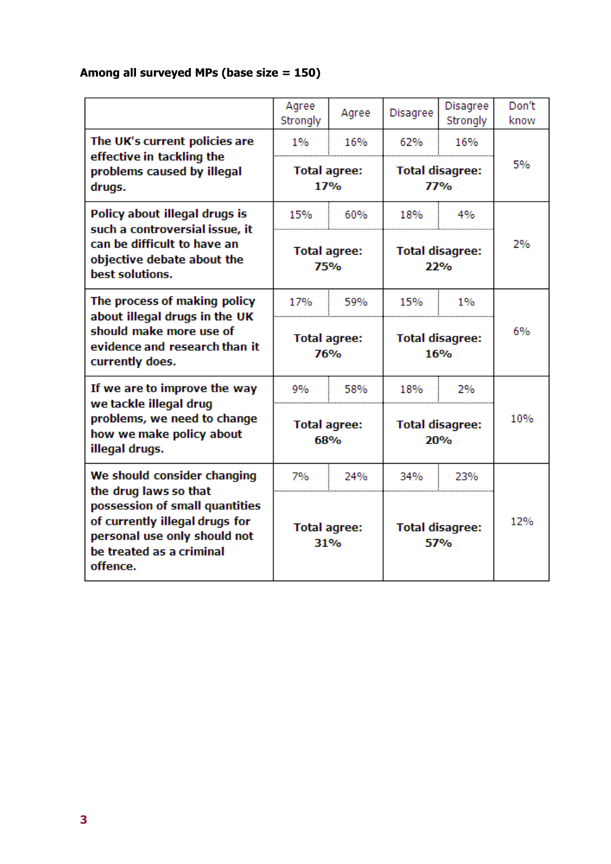## **Among all surveyed MPs (base size = 150)**

|                                                                                                                                              | Agree<br>Strongly          | Agree | <b>Disagree</b>                      | <b>Disagree</b><br>Strongly | Don't<br>know |
|----------------------------------------------------------------------------------------------------------------------------------------------|----------------------------|-------|--------------------------------------|-----------------------------|---------------|
| The UK's current policies are<br>effective in tackling the                                                                                   | 1%                         | 16%   | 62%                                  | 16%                         |               |
| problems caused by illegal<br>drugs.                                                                                                         | <b>Total agree:</b><br>17% |       | <b>Total disagree:</b><br><b>77%</b> |                             | 5%            |
| Policy about illegal drugs is<br>such a controversial issue, it                                                                              | 15%                        | 60%   | 18%                                  | 4%                          |               |
| can be difficult to have an<br>objective debate about the<br>best solutions.                                                                 | <b>Total agree:</b><br>75% |       | <b>Total disagree:</b><br>22%        |                             | 2%            |
| The process of making policy<br>about illegal drugs in the UK<br>should make more use of<br>evidence and research than it<br>currently does. | 17%                        | 59%   | 15%                                  | 1%                          |               |
|                                                                                                                                              | <b>Total agree:</b><br>76% |       | <b>Total disagree:</b><br>16%        |                             | 6%            |
| If we are to improve the way                                                                                                                 | 9%                         | 58%   | 18%                                  | 2%                          |               |
| we tackle illegal drug<br>problems, we need to change<br>how we make policy about<br>illegal drugs.                                          | <b>Total agree:</b><br>68% |       | <b>Total disagree:</b><br><b>20%</b> |                             | 10%           |
| We should consider changing<br>the drug laws so that                                                                                         | 7%                         | 24%   | 34%                                  | 23%                         |               |
| possession of small quantities<br>of currently illegal drugs for<br>personal use only should not<br>be treated as a criminal<br>offence.     | <b>Total agree:</b><br>31% |       | <b>Total disagree:</b><br>57%        |                             | 12%           |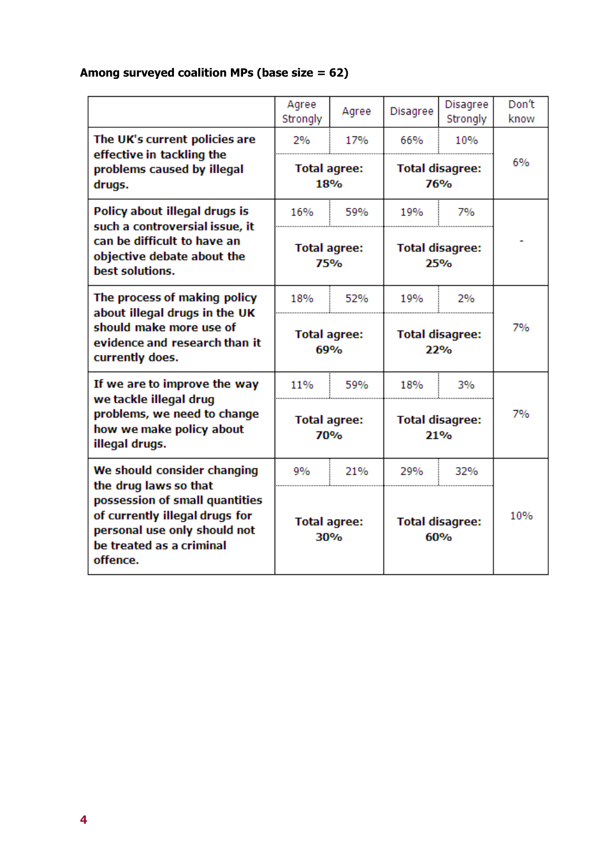### **Among surveyed coalition MPs (base size = 62)**

|                                                                                                                                                                   | Agree<br>Strongly                              | Agree | Disagree                                           | <b>Disagree</b><br>Strongly | Don't<br>know |
|-------------------------------------------------------------------------------------------------------------------------------------------------------------------|------------------------------------------------|-------|----------------------------------------------------|-----------------------------|---------------|
| The UK's current policies are<br>effective in tackling the<br>problems caused by illegal                                                                          | 2%<br>17%<br><b>Total agree:</b><br><b>18%</b> |       | 10%<br>66%<br><b>Total disagree:</b><br><b>76%</b> |                             | 6%            |
| drugs.                                                                                                                                                            |                                                |       |                                                    |                             |               |
| Policy about illegal drugs is<br>such a controversial issue, it<br>can be difficult to have an<br>objective debate about the<br>best solutions.                   | 16%                                            | 59%   | 19%                                                | 7%                          |               |
|                                                                                                                                                                   | <b>Total agree:</b><br>75%                     |       | <b>Total disagree:</b><br>25%                      |                             |               |
| The process of making policy                                                                                                                                      | 18%                                            | 52%   | 19%                                                | 2%                          |               |
| about illegal drugs in the UK<br>should make more use of<br>evidence and research than it<br>currently does.                                                      | <b>Total agree:</b><br>69%                     |       | <b>Total disagree:</b><br>22%                      |                             | 7%            |
| If we are to improve the way                                                                                                                                      | 11%                                            | 59%   | 18%                                                | 3%                          |               |
| we tackle illegal drug<br>problems, we need to change<br>how we make policy about<br>illegal drugs.                                                               | <b>Total agree:</b><br>70%                     |       | <b>Total disagree:</b><br>21%                      |                             | 7%            |
| We should consider changing                                                                                                                                       | 9%                                             | 21%   | 29%                                                | 32%                         |               |
| the drug laws so that<br>possession of small quantities<br>of currently illegal drugs for<br>personal use only should not<br>be treated as a criminal<br>offence. | <b>Total agree:</b><br>30%                     |       | <b>Total disagree:</b><br>60%                      |                             | 10%           |